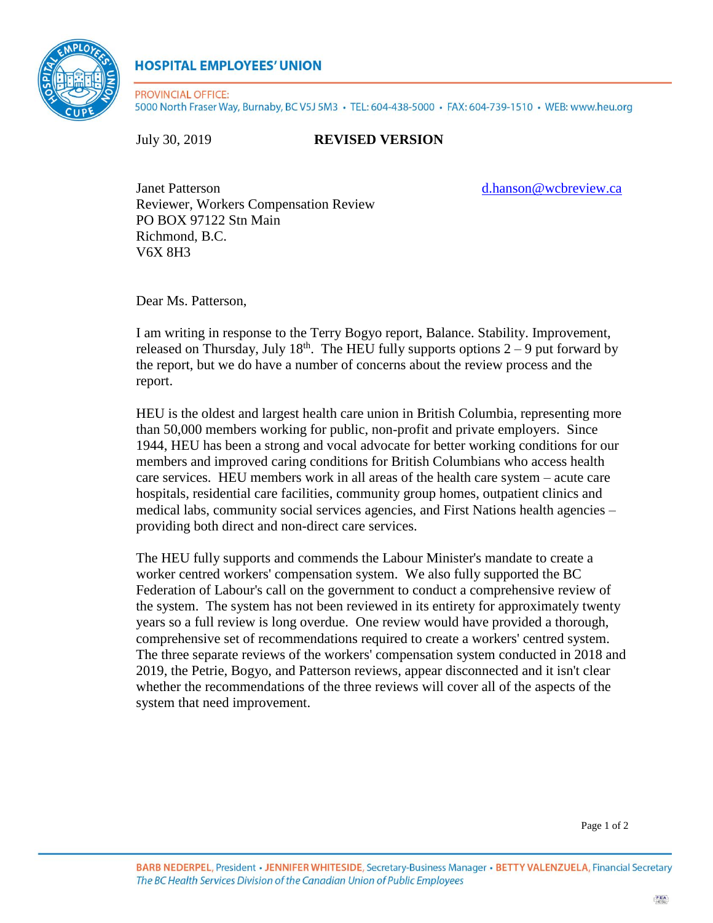

## **HOSPITAL EMPLOYEES' UNION**

PROVINCIAL OFFICE: 5000 North Fraser Way, Burnaby, BC V5J 5M3 · TEL: 604-438-5000 · FAX: 604-739-1510 · WEB: www.heu.org

## July 30, 2019 **REVISED VERSION**

Janet Patterson d.hanson @wcbreview.ca Reviewer, Workers Compensation Review PO BOX 97122 Stn Main Richmond, B.C. V6X 8H3

Dear Ms. Patterson,

I am writing in response to the Terry Bogyo report, Balance. Stability. Improvement, released on Thursday, July  $18<sup>th</sup>$ . The HEU fully supports options  $2-9$  put forward by the report, but we do have a number of concerns about the review process and the report.

HEU is the oldest and largest health care union in British Columbia, representing more than 50,000 members working for public, non-profit and private employers. Since 1944, HEU has been a strong and vocal advocate for better working conditions for our members and improved caring conditions for British Columbians who access health care services. HEU members work in all areas of the health care system – acute care hospitals, residential care facilities, community group homes, outpatient clinics and medical labs, community social services agencies, and First Nations health agencies – providing both direct and non-direct care services.

The HEU fully supports and commends the Labour Minister's mandate to create a worker centred workers' compensation system. We also fully supported the BC Federation of Labour's call on the government to conduct a comprehensive review of the system. The system has not been reviewed in its entirety for approximately twenty years so a full review is long overdue. One review would have provided a thorough, comprehensive set of recommendations required to create a workers' centred system. The three separate reviews of the workers' compensation system conducted in 2018 and 2019, the Petrie, Bogyo, and Patterson reviews, appear disconnected and it isn't clear whether the recommendations of the three reviews will cover all of the aspects of the system that need improvement.

Page 1 of 2